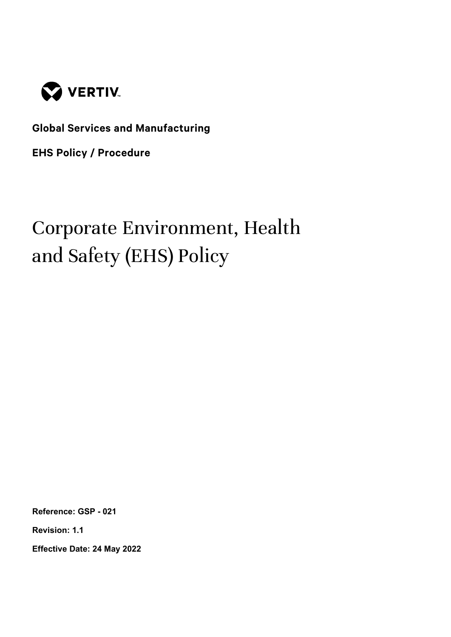

**Global Services and Manufacturing**

**EHS Policy / Procedure**

# Corporate Environment, Health and Safety (EHS) Policy

**Reference: GSP - 021**

**Revision: 1.1**

**Effective Date: 24 May 2022**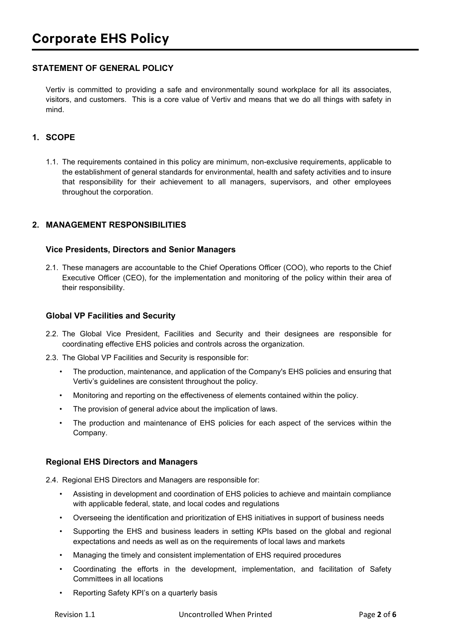# **STATEMENT OF GENERAL POLICY**

Vertiv is committed to providing a safe and environmentally sound workplace for all its associates, visitors, and customers. This is a core value of Vertiv and means that we do all things with safety in mind.

# **1. SCOPE**

1.1. The requirements contained in this policy are minimum, non-exclusive requirements, applicable to the establishment of general standards for environmental, health and safety activities and to insure that responsibility for their achievement to all managers, supervisors, and other employees throughout the corporation.

#### **2. MANAGEMENT RESPONSIBILITIES**

#### **Vice Presidents, Directors and Senior Managers**

2.1. These managers are accountable to the Chief Operations Officer (COO), who reports to the Chief Executive Officer (CEO), for the implementation and monitoring of the policy within their area of their responsibility.

#### **Global VP Facilities and Security**

- 2.2. The Global Vice President, Facilities and Security and their designees are responsible for coordinating effective EHS policies and controls across the organization.
- 2.3. The Global VP Facilities and Security is responsible for:
	- The production, maintenance, and application of the Company's EHS policies and ensuring that Vertiv's guidelines are consistent throughout the policy.
	- Monitoring and reporting on the effectiveness of elements contained within the policy.
	- The provision of general advice about the implication of laws.
	- The production and maintenance of EHS policies for each aspect of the services within the Company.

#### **Regional EHS Directors and Managers**

2.4. Regional EHS Directors and Managers are responsible for:

- Assisting in development and coordination of EHS policies to achieve and maintain compliance with applicable federal, state, and local codes and regulations
- Overseeing the identification and prioritization of EHS initiatives in support of business needs
- Supporting the EHS and business leaders in setting KPIs based on the global and regional expectations and needs as well as on the requirements of local laws and markets
- Managing the timely and consistent implementation of EHS required procedures
- Coordinating the efforts in the development, implementation, and facilitation of Safety Committees in all locations
- Reporting Safety KPI's on a quarterly basis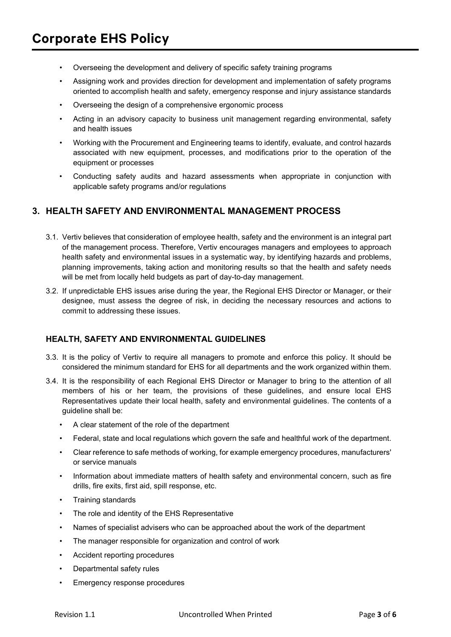- Overseeing the development and delivery of specific safety training programs
- Assigning work and provides direction for development and implementation of safety programs oriented to accomplish health and safety, emergency response and injury assistance standards
- Overseeing the design of a comprehensive ergonomic process
- Acting in an advisory capacity to business unit management regarding environmental, safety and health issues
- Working with the Procurement and Engineering teams to identify, evaluate, and control hazards associated with new equipment, processes, and modifications prior to the operation of the equipment or processes
- Conducting safety audits and hazard assessments when appropriate in conjunction with applicable safety programs and/or regulations

# **3. HEALTH SAFETY AND ENVIRONMENTAL MANAGEMENT PROCESS**

- 3.1. Vertiv believes that consideration of employee health, safety and the environment is an integral part of the management process. Therefore, Vertiv encourages managers and employees to approach health safety and environmental issues in a systematic way, by identifying hazards and problems, planning improvements, taking action and monitoring results so that the health and safety needs will be met from locally held budgets as part of day-to-day management.
- 3.2. If unpredictable EHS issues arise during the year, the Regional EHS Director or Manager, or their designee, must assess the degree of risk, in deciding the necessary resources and actions to commit to addressing these issues.

## **HEALTH, SAFETY AND ENVIRONMENTAL GUIDELINES**

- 3.3. It is the policy of Vertiv to require all managers to promote and enforce this policy. It should be considered the minimum standard for EHS for all departments and the work organized within them.
- 3.4. It is the responsibility of each Regional EHS Director or Manager to bring to the attention of all members of his or her team, the provisions of these guidelines, and ensure local EHS Representatives update their local health, safety and environmental guidelines. The contents of a guideline shall be:
	- A clear statement of the role of the department
	- Federal, state and local regulations which govern the safe and healthful work of the department.
	- Clear reference to safe methods of working, for example emergency procedures, manufacturers' or service manuals
	- Information about immediate matters of health safety and environmental concern, such as fire drills, fire exits, first aid, spill response, etc.
	- Training standards
	- The role and identity of the EHS Representative
	- Names of specialist advisers who can be approached about the work of the department
	- The manager responsible for organization and control of work
	- Accident reporting procedures
	- Departmental safety rules
	- Emergency response procedures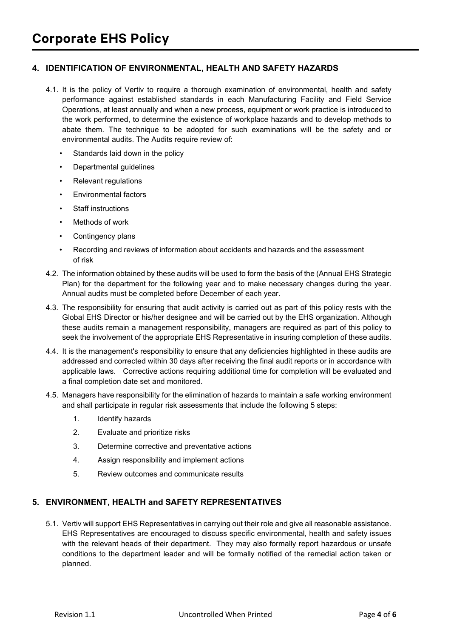## **4. IDENTIFICATION OF ENVIRONMENTAL, HEALTH AND SAFETY HAZARDS**

- 4.1. It is the policy of Vertiv to require a thorough examination of environmental, health and safety performance against established standards in each Manufacturing Facility and Field Service Operations, at least annually and when a new process, equipment or work practice is introduced to the work performed, to determine the existence of workplace hazards and to develop methods to abate them. The technique to be adopted for such examinations will be the safety and or environmental audits. The Audits require review of:
	- Standards laid down in the policy
	- Departmental guidelines
	- Relevant regulations
	- Environmental factors
	- **Staff instructions**
	- Methods of work
	- Contingency plans
	- Recording and reviews of information about accidents and hazards and the assessment of risk
- 4.2. The information obtained by these audits will be used to form the basis of the (Annual EHS Strategic Plan) for the department for the following year and to make necessary changes during the year. Annual audits must be completed before December of each year.
- 4.3. The responsibility for ensuring that audit activity is carried out as part of this policy rests with the Global EHS Director or his/her designee and will be carried out by the EHS organization. Although these audits remain a management responsibility, managers are required as part of this policy to seek the involvement of the appropriate EHS Representative in insuring completion of these audits.
- 4.4. It is the management's responsibility to ensure that any deficiencies highlighted in these audits are addressed and corrected within 30 days after receiving the final audit reports or in accordance with applicable laws. Corrective actions requiring additional time for completion will be evaluated and a final completion date set and monitored.
- 4.5. Managers have responsibility for the elimination of hazards to maintain a safe working environment and shall participate in regular risk assessments that include the following 5 steps:
	- 1. Identify hazards
	- 2. Evaluate and prioritize risks
	- 3. Determine corrective and preventative actions
	- 4. Assign responsibility and implement actions
	- 5. Review outcomes and communicate results

#### **5. ENVIRONMENT, HEALTH and SAFETY REPRESENTATIVES**

5.1. Vertiv will support EHS Representatives in carrying out their role and give all reasonable assistance. EHS Representatives are encouraged to discuss specific environmental, health and safety issues with the relevant heads of their department. They may also formally report hazardous or unsafe conditions to the department leader and will be formally notified of the remedial action taken or planned.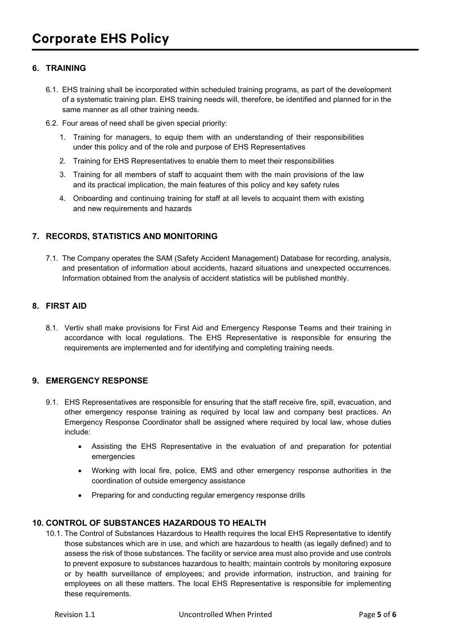# **6. TRAINING**

- 6.1. EHS training shall be incorporated within scheduled training programs, as part of the development of a systematic training plan. EHS training needs will, therefore, be identified and planned for in the same manner as all other training needs.
- 6.2. Four areas of need shall be given special priority:
	- 1. Training for managers, to equip them with an understanding of their responsibilities under this policy and of the role and purpose of EHS Representatives
	- 2. Training for EHS Representatives to enable them to meet their responsibilities
	- 3. Training for all members of staff to acquaint them with the main provisions of the law and its practical implication, the main features of this policy and key safety rules
	- 4. Onboarding and continuing training for staff at all levels to acquaint them with existing and new requirements and hazards

## **7. RECORDS, STATISTICS AND MONITORING**

7.1. The Company operates the SAM (Safety Accident Management) Database for recording, analysis, and presentation of information about accidents, hazard situations and unexpected occurrences. Information obtained from the analysis of accident statistics will be published monthly.

## **8. FIRST AID**

8.1. Vertiv shall make provisions for First Aid and Emergency Response Teams and their training in accordance with local regulations. The EHS Representative is responsible for ensuring the requirements are implemented and for identifying and completing training needs.

## **9. EMERGENCY RESPONSE**

- 9.1. EHS Representatives are responsible for ensuring that the staff receive fire, spill, evacuation, and other emergency response training as required by local law and company best practices. An Emergency Response Coordinator shall be assigned where required by local law, whose duties include:
	- Assisting the EHS Representative in the evaluation of and preparation for potential emergencies
	- Working with local fire, police, EMS and other emergency response authorities in the coordination of outside emergency assistance
	- Preparing for and conducting regular emergency response drills

## **10. CONTROL OF SUBSTANCES HAZARDOUS TO HEALTH**

10.1. The Control of Substances Hazardous to Health requires the local EHS Representative to identify those substances which are in use, and which are hazardous to health (as legally defined) and to assess the risk of those substances. The facility or service area must also provide and use controls to prevent exposure to substances hazardous to health; maintain controls by monitoring exposure or by health surveillance of employees; and provide information, instruction, and training for employees on all these matters. The local EHS Representative is responsible for implementing these requirements.